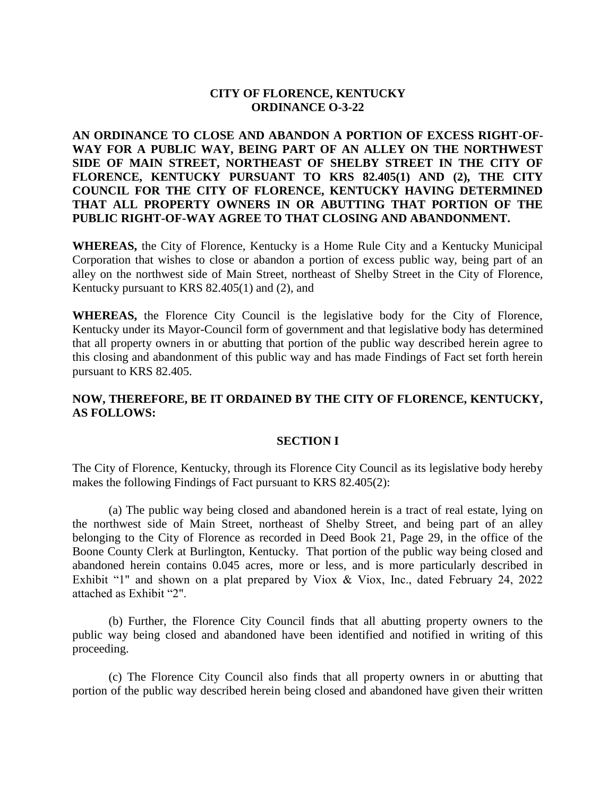## **CITY OF FLORENCE, KENTUCKY ORDINANCE O-3-22**

**AN ORDINANCE TO CLOSE AND ABANDON A PORTION OF EXCESS RIGHT-OF-WAY FOR A PUBLIC WAY, BEING PART OF AN ALLEY ON THE NORTHWEST SIDE OF MAIN STREET, NORTHEAST OF SHELBY STREET IN THE CITY OF FLORENCE, KENTUCKY PURSUANT TO KRS 82.405(1) AND (2), THE CITY COUNCIL FOR THE CITY OF FLORENCE, KENTUCKY HAVING DETERMINED THAT ALL PROPERTY OWNERS IN OR ABUTTING THAT PORTION OF THE PUBLIC RIGHT-OF-WAY AGREE TO THAT CLOSING AND ABANDONMENT.** 

**WHEREAS,** the City of Florence, Kentucky is a Home Rule City and a Kentucky Municipal Corporation that wishes to close or abandon a portion of excess public way, being part of an alley on the northwest side of Main Street, northeast of Shelby Street in the City of Florence, Kentucky pursuant to KRS 82.405(1) and (2), and

**WHEREAS,** the Florence City Council is the legislative body for the City of Florence, Kentucky under its Mayor-Council form of government and that legislative body has determined that all property owners in or abutting that portion of the public way described herein agree to this closing and abandonment of this public way and has made Findings of Fact set forth herein pursuant to KRS 82.405.

# **NOW, THEREFORE, BE IT ORDAINED BY THE CITY OF FLORENCE, KENTUCKY, AS FOLLOWS:**

## **SECTION I**

The City of Florence, Kentucky, through its Florence City Council as its legislative body hereby makes the following Findings of Fact pursuant to KRS 82.405(2):

(a) The public way being closed and abandoned herein is a tract of real estate, lying on the northwest side of Main Street, northeast of Shelby Street, and being part of an alley belonging to the City of Florence as recorded in Deed Book 21, Page 29, in the office of the Boone County Clerk at Burlington, Kentucky. That portion of the public way being closed and abandoned herein contains 0.045 acres, more or less, and is more particularly described in Exhibit "1" and shown on a plat prepared by Viox & Viox, Inc., dated February 24, 2022 attached as Exhibit "2".

(b) Further, the Florence City Council finds that all abutting property owners to the public way being closed and abandoned have been identified and notified in writing of this proceeding.

(c) The Florence City Council also finds that all property owners in or abutting that portion of the public way described herein being closed and abandoned have given their written